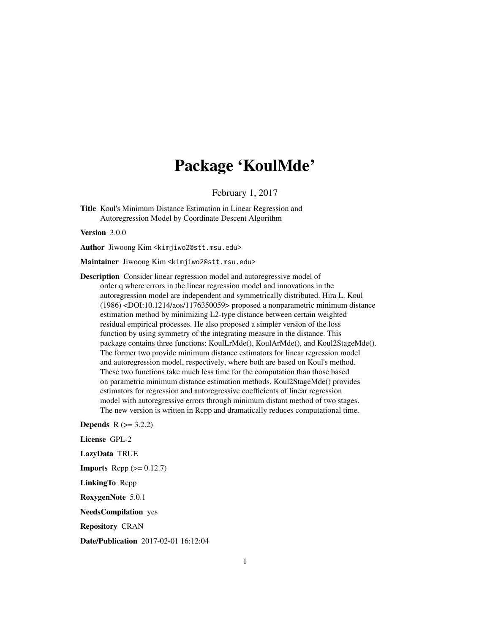## Package 'KoulMde'

February 1, 2017

Title Koul's Minimum Distance Estimation in Linear Regression and Autoregression Model by Coordinate Descent Algorithm

Version 3.0.0

Author Jiwoong Kim <kimjiwo2@stt.msu.edu>

Maintainer Jiwoong Kim <kimjiwo2@stt.msu.edu>

Description Consider linear regression model and autoregressive model of order q where errors in the linear regression model and innovations in the autoregression model are independent and symmetrically distributed. Hira L. Koul (1986) <DOI:10.1214/aos/1176350059> proposed a nonparametric minimum distance estimation method by minimizing L2-type distance between certain weighted residual empirical processes. He also proposed a simpler version of the loss function by using symmetry of the integrating measure in the distance. This package contains three functions: KoulLrMde(), KoulArMde(), and Koul2StageMde(). The former two provide minimum distance estimators for linear regression model and autoregression model, respectively, where both are based on Koul's method. These two functions take much less time for the computation than those based on parametric minimum distance estimation methods. Koul2StageMde() provides estimators for regression and autoregressive coefficients of linear regression model with autoregressive errors through minimum distant method of two stages. The new version is written in Rcpp and dramatically reduces computational time.

**Depends**  $R$  ( $> = 3.2.2$ ) License GPL-2 LazyData TRUE **Imports** Rcpp  $(>= 0.12.7)$ LinkingTo Rcpp RoxygenNote 5.0.1 NeedsCompilation yes Repository CRAN

Date/Publication 2017-02-01 16:12:04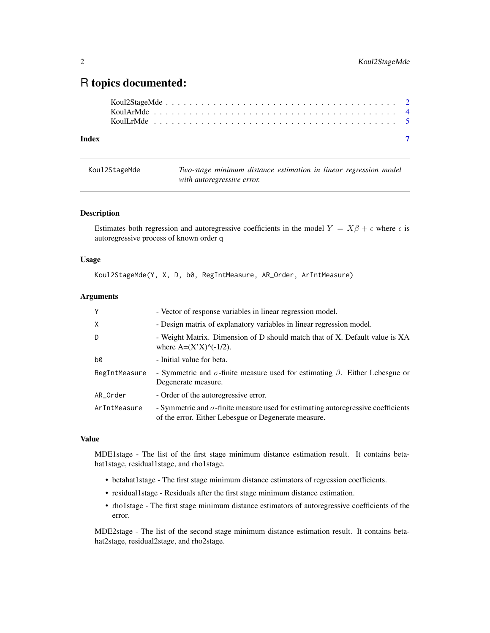### <span id="page-1-0"></span>R topics documented:

| Index |  |  |  |  |  |  |  |  |  |  |  |  |  |  |  |  |  |  |  |
|-------|--|--|--|--|--|--|--|--|--|--|--|--|--|--|--|--|--|--|--|

| Koul2StageMde | Two-stage minimum distance estimation in linear regression model |  |  |  |
|---------------|------------------------------------------------------------------|--|--|--|
|               | with autoregressive error.                                       |  |  |  |

#### Description

Estimates both regression and autoregressive coefficients in the model  $Y = X\beta + \epsilon$  where  $\epsilon$  is autoregressive process of known order q

#### Usage

Koul2StageMde(Y, X, D, b0, RegIntMeasure, AR\_Order, ArIntMeasure)

#### Arguments

| Y             | - Vector of response variables in linear regression model.                                                                                       |
|---------------|--------------------------------------------------------------------------------------------------------------------------------------------------|
| $\mathsf{X}$  | - Design matrix of explanatory variables in linear regression model.                                                                             |
| D             | - Weight Matrix. Dimension of D should match that of X. Default value is XA<br>where $A=(X'X)^\wedge(-1/2)$ .                                    |
| b0            | - Initial value for beta.                                                                                                                        |
| RegIntMeasure | - Symmetric and $\sigma$ -finite measure used for estimating $\beta$ . Either Lebesgue or<br>Degenerate measure.                                 |
| AR_Order      | - Order of the autoregressive error.                                                                                                             |
| ArIntMeasure  | - Symmetric and $\sigma$ -finite measure used for estimating autoregressive coefficients<br>of the error. Either Lebesgue or Degenerate measure. |

#### Value

MDE1stage - The list of the first stage minimum distance estimation result. It contains betahat1stage, residual1stage, and rho1stage.

- betahat1stage The first stage minimum distance estimators of regression coefficients.
- residual1stage Residuals after the first stage minimum distance estimation.
- rho1stage The first stage minimum distance estimators of autoregressive coefficients of the error.

MDE2stage - The list of the second stage minimum distance estimation result. It contains betahat2stage, residual2stage, and rho2stage.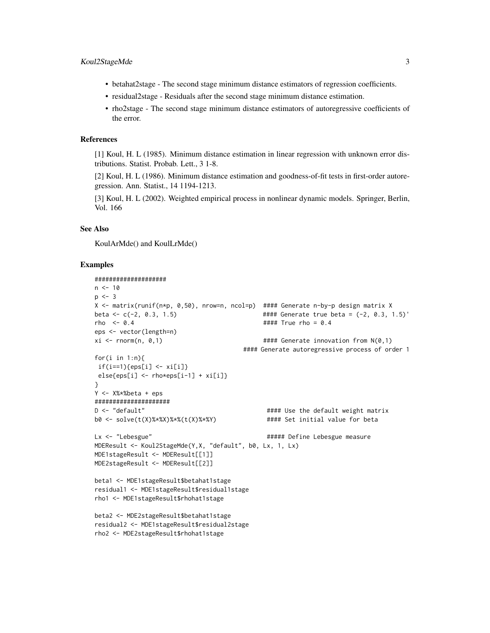- betahat2stage The second stage minimum distance estimators of regression coefficients.
- residual2stage Residuals after the second stage minimum distance estimation.
- rho2stage The second stage minimum distance estimators of autoregressive coefficients of the error.

#### References

[1] Koul, H. L (1985). Minimum distance estimation in linear regression with unknown error distributions. Statist. Probab. Lett., 3 1-8.

[2] Koul, H. L (1986). Minimum distance estimation and goodness-of-fit tests in first-order autoregression. Ann. Statist., 14 1194-1213.

[3] Koul, H. L (2002). Weighted empirical process in nonlinear dynamic models. Springer, Berlin, Vol. 166

#### See Also

KoulArMde() and KoulLrMde()

#### Examples

```
####################
n < -10p \le -3X <- matrix(runif(n*p, 0,50), nrow=n, ncol=p) #### Generate n-by-p design matrix X
beta <- c(-2, 0.3, 1.5) #### Generate true beta = (-2, 0.3, 1.5)'
rho \leq 0.4 \qquad \qquad \qquad \qquad \qquad \qquad \qquad \qquad \qquad \qquad \qquad \qquad \qquad \qquad \qquad \qquad \qquad \qquad \qquad \qquad \qquad \qquad \qquad \qquad \qquad \qquad \qquad \qquad \qquad \qquad \qquad \qquad \qquad \qquad \qeps <- vector(length=n)
xi <- rnorm(n, 0,1) #### Generate innovation from N(0,1)
                                             #### Generate autoregressive process of order 1
for(i in 1:n){
 if(i == 1){eps[i] \leftarrow xi[i]}else[ise{eps[i] <- rho*eps[i-1] + xi[i]}
}
Y <- X%*%beta + eps
#####################
D <- "default" \qquad \qquad #### Use the default weight matrix
b0 <- solve(t(X)%*%X)%*%(t(X)%*%Y) #### Set initial value for beta
Lx <- "Lebesgue" \qquad \qquad \qquad ##### Define Lebesgue measure
MDEResult <- Koul2StageMde(Y,X, "default", b0, Lx, 1, Lx)
MDE1stageResult <- MDEResult[[1]]
MDE2stageResult <- MDEResult[[2]]
beta1 <- MDE1stageResult$betahat1stage
residual1 <- MDE1stageResult$residual1stage
rho1 <- MDE1stageResult$rhohat1stage
beta2 <- MDE2stageResult$betahat1stage
residual2 <- MDE1stageResult$residual2stage
rho2 <- MDE2stageResult$rhohat1stage
```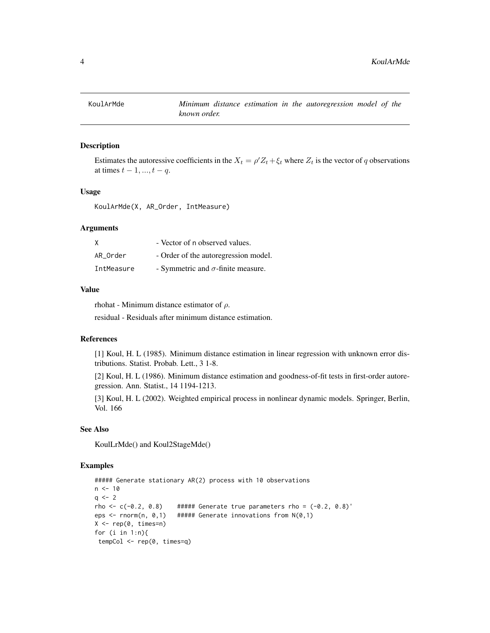<span id="page-3-0"></span>

#### Description

Estimates the autoressive coefficients in the  $X_t = \rho' Z_t + \xi_t$  where  $Z_t$  is the vector of q observations at times  $t - 1, ..., t - q$ .

#### Usage

KoulArMde(X, AR\_Order, IntMeasure)

#### Arguments

| X          | - Vector of n observed values.            |
|------------|-------------------------------------------|
| AR Order   | - Order of the autoregression model.      |
| IntMeasure | - Symmetric and $\sigma$ -finite measure. |

#### Value

rhohat - Minimum distance estimator of  $\rho$ .

residual - Residuals after minimum distance estimation.

#### References

[1] Koul, H. L (1985). Minimum distance estimation in linear regression with unknown error distributions. Statist. Probab. Lett., 3 1-8.

[2] Koul, H. L (1986). Minimum distance estimation and goodness-of-fit tests in first-order autoregression. Ann. Statist., 14 1194-1213.

[3] Koul, H. L (2002). Weighted empirical process in nonlinear dynamic models. Springer, Berlin, Vol. 166

#### See Also

KoulLrMde() and Koul2StageMde()

#### Examples

```
##### Generate stationary AR(2) process with 10 observations
n < -10q \leq -2rho <- c(-0.2, 0.8) ##### Generate true parameters rho = (-0.2, 0.8)'eps <- rnorm(n, 0,1) ##### Generate innovations from N(0,1)
X \leftarrow \text{rep}(\emptyset, \text{times=n})for (i in 1:n){
 tempCol <- rep(0, times=q)
```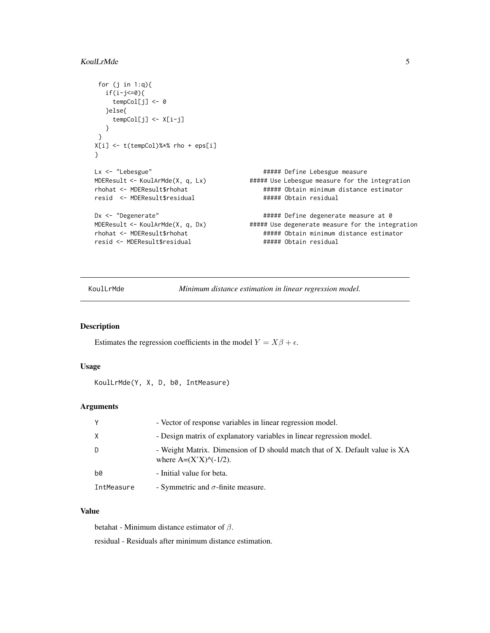#### <span id="page-4-0"></span>KoulLrMde 5

```
for (j in 1:q){
  if(i-j<=0){}tempCol[j] <- 0
  }else{
    tempCol[j] <- X[i-j]
  }
}
X[i] <- t(tempCol)%*% rho + eps[i]
}
Lx <- "Lebesgue" # + # Define Lebesgue measure
MDEResult <- KoulArMde(X, q, Lx) ##### Use Lebesgue measure for the integration
rhohat <- MDEResult$rhohat ##### Obtain minimum distance estimator
resid <- MDEResult$residual ##### Obtain residual
Dx <- "Degenerate" # + # Define degenerate measure at 0
MDEResult <- KoulArMde(X, q, Dx) ##### Use degenerate measure for the integration
rhohat <- MDEResult$rhohat ##### Obtain minimum distance estimator
resid <- MDEResult$residual
```
KoulLrMde *Minimum distance estimation in linear regression model.*

#### Description

Estimates the regression coefficients in the model  $Y = X\beta + \epsilon$ .

#### Usage

```
KoulLrMde(Y, X, D, b0, IntMeasure)
```
#### Arguments

| Y          | - Vector of response variables in linear regression model.                                                       |
|------------|------------------------------------------------------------------------------------------------------------------|
| X          | - Design matrix of explanatory variables in linear regression model.                                             |
| D          | - Weight Matrix. Dimension of D should match that of X. Default value is XA<br>where $A=(X^*X)^{\wedge}(-1/2)$ . |
| b0         | - Initial value for beta.                                                                                        |
| IntMeasure | - Symmetric and $\sigma$ -finite measure.                                                                        |

#### Value

betahat - Minimum distance estimator of  $\beta$ .

residual - Residuals after minimum distance estimation.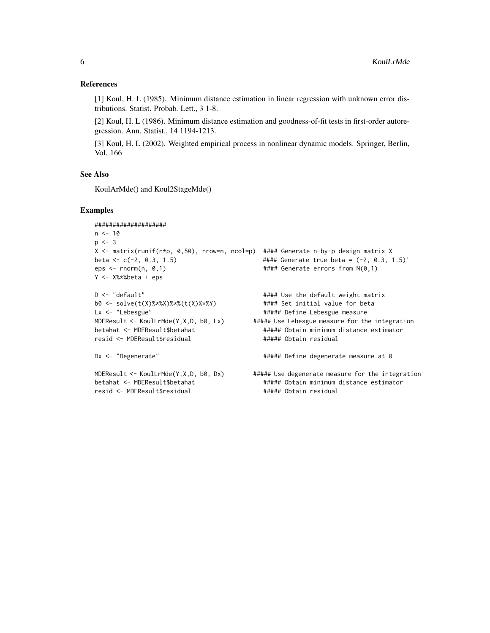#### References

[1] Koul, H. L (1985). Minimum distance estimation in linear regression with unknown error distributions. Statist. Probab. Lett., 3 1-8.

[2] Koul, H. L (1986). Minimum distance estimation and goodness-of-fit tests in first-order autoregression. Ann. Statist., 14 1194-1213.

[3] Koul, H. L (2002). Weighted empirical process in nonlinear dynamic models. Springer, Berlin, Vol. 166

#### See Also

KoulArMde() and Koul2StageMde()

#### Examples

```
####################
n < -10p \le -3X <- matrix(runif(n*p, 0,50), nrow=n, ncol=p) #### Generate n-by-p design matrix X
beta <- c(-2, 0.3, 1.5) #### Generate true beta = (-2, 0.3, 1.5)'
                                        #### Generate errors from N(0,1)
Y <- X%*%beta + eps
D <- "default" \qquad \qquad #### Use the default weight matrix
b0 <- solve(t(X)%*%X)%*%(t(X)%*%Y) #### Set initial value for beta
Lx <- "Lebesgue" \qquad \qquad \qquad ##### Define Lebesgue measure
MDEResult <- KoulLrMde(Y,X,D, b0, Lx) ##### Use Lebesgue measure for the integration
betahat <- MDEResult$betahat ###### Obtain minimum distance estimator
resid <- MDEResult$residual ###### Obtain residual
Dx <- "Degenerate" \qquad \qquad ##### Define degenerate measure at 0
MDEResult <- KoulLrMde(Y,X,D, b0, Dx) ##### Use degenerate measure for the integration
betahat <- MDEResult$betahat ###### Obtain minimum distance estimator
resid <- MDEResult$residual ##### Obtain residual
```